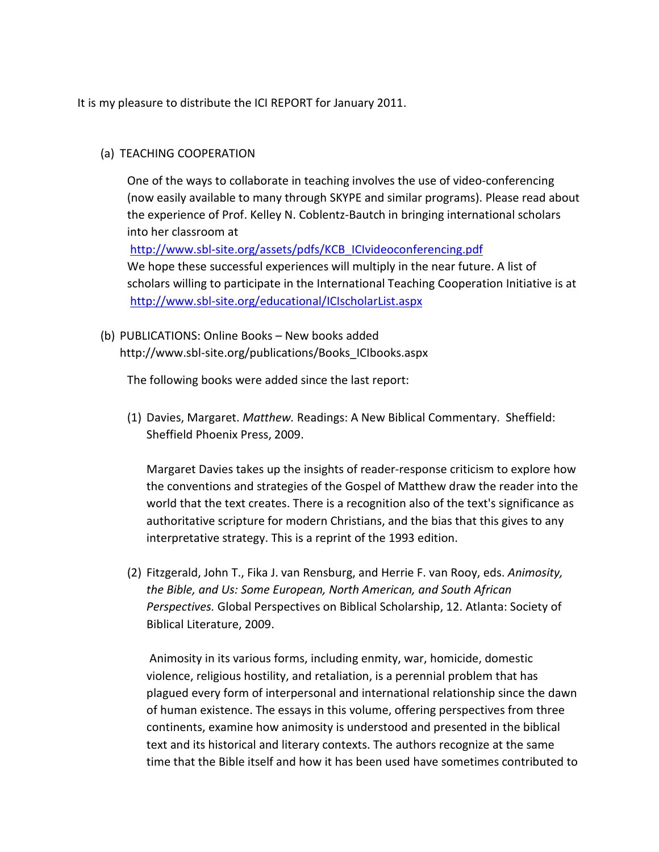It is my pleasure to distribute the ICI REPORT for January 2011.

## (a) TEACHING COOPERATION

One of the ways to collaborate in teaching involves the use of video-conferencing (now easily available to many through SKYPE and similar programs). Please read about the experience of Prof. Kelley N. Coblentz-Bautch in bringing international scholars into her classroom at [http://www.sbl-site.org/assets/pdfs/KCB\\_ICIvideoconferencing.pdf](http://www.sbl-site.org/assets/pdfs/KCB_ICIvideoconferencing.pdf)

We hope these successful experiences will multiply in the near future. A list of scholars willing to participate in the International Teaching Cooperation Initiative is at <http://www.sbl-site.org/educational/ICIscholarList.aspx>

(b) PUBLICATIONS: Online Books – New books added http://www.sbl-site.org/publications/Books\_ICIbooks.aspx

The following books were added since the last report:

(1) Davies, Margaret. *Matthew.* Readings: A New Biblical Commentary. Sheffield: Sheffield Phoenix Press, 2009.

Margaret Davies takes up the insights of reader-response criticism to explore how the conventions and strategies of the Gospel of Matthew draw the reader into the world that the text creates. There is a recognition also of the text's significance as authoritative scripture for modern Christians, and the bias that this gives to any interpretative strategy. This is a reprint of the 1993 edition.

(2) Fitzgerald, John T., Fika J. van Rensburg, and Herrie F. van Rooy, eds. *Animosity, the Bible, and Us: Some European, North American, and South African Perspectives.* Global Perspectives on Biblical Scholarship, 12. Atlanta: Society of Biblical Literature, 2009.

Animosity in its various forms, including enmity, war, homicide, domestic violence, religious hostility, and retaliation, is a perennial problem that has plagued every form of interpersonal and international relationship since the dawn of human existence. The essays in this volume, offering perspectives from three continents, examine how animosity is understood and presented in the biblical text and its historical and literary contexts. The authors recognize at the same time that the Bible itself and how it has been used have sometimes contributed to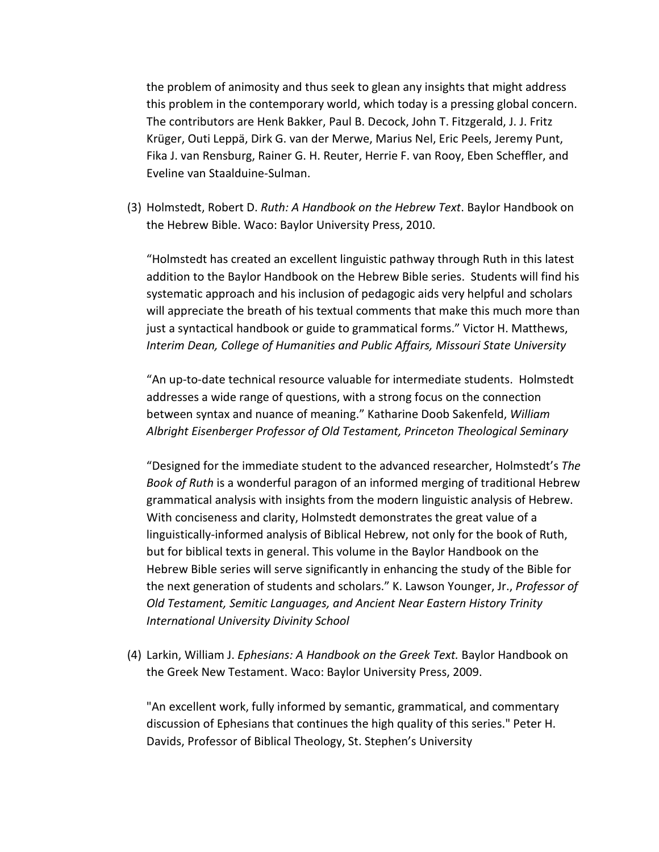the problem of animosity and thus seek to glean any insights that might address this problem in the contemporary world, which today is a pressing global concern. The contributors are Henk Bakker, Paul B. Decock, John T. Fitzgerald, J. J. Fritz Krüger, Outi Leppä, Dirk G. van der Merwe, Marius Nel, Eric Peels, Jeremy Punt, Fika J. van Rensburg, Rainer G. H. Reuter, Herrie F. van Rooy, Eben Scheffler, and Eveline van Staalduine-Sulman.

(3) Holmstedt, Robert D. *Ruth: A Handbook on the Hebrew Text*. Baylor Handbook on the Hebrew Bible. Waco: Baylor University Press, 2010.

"Holmstedt has created an excellent linguistic pathway through Ruth in this latest addition to the Baylor Handbook on the Hebrew Bible series. Students will find his systematic approach and his inclusion of pedagogic aids very helpful and scholars will appreciate the breath of his textual comments that make this much more than just a syntactical handbook or guide to grammatical forms." Victor H. Matthews, *Interim Dean, College of Humanities and Public Affairs, Missouri State University*

"An up-to-date technical resource valuable for intermediate students. Holmstedt addresses a wide range of questions, with a strong focus on the connection between syntax and nuance of meaning." Katharine Doob Sakenfeld, *William Albright Eisenberger Professor of Old Testament, Princeton Theological Seminary*

"Designed for the immediate student to the advanced researcher, Holmstedt's *The Book of Ruth* is a wonderful paragon of an informed merging of traditional Hebrew grammatical analysis with insights from the modern linguistic analysis of Hebrew. With conciseness and clarity, Holmstedt demonstrates the great value of a linguistically-informed analysis of Biblical Hebrew, not only for the book of Ruth, but for biblical texts in general. This volume in the Baylor Handbook on the Hebrew Bible series will serve significantly in enhancing the study of the Bible for the next generation of students and scholars." K. Lawson Younger, Jr., *Professor of Old Testament, Semitic Languages, and Ancient Near Eastern History Trinity International University Divinity School*

(4) Larkin, William J. *Ephesians: A Handbook on the Greek Text.* Baylor Handbook on the Greek New Testament. Waco: Baylor University Press, 2009.

"An excellent work, fully informed by semantic, grammatical, and commentary discussion of Ephesians that continues the high quality of this series." Peter H. Davids, Professor of Biblical Theology, St. Stephen's University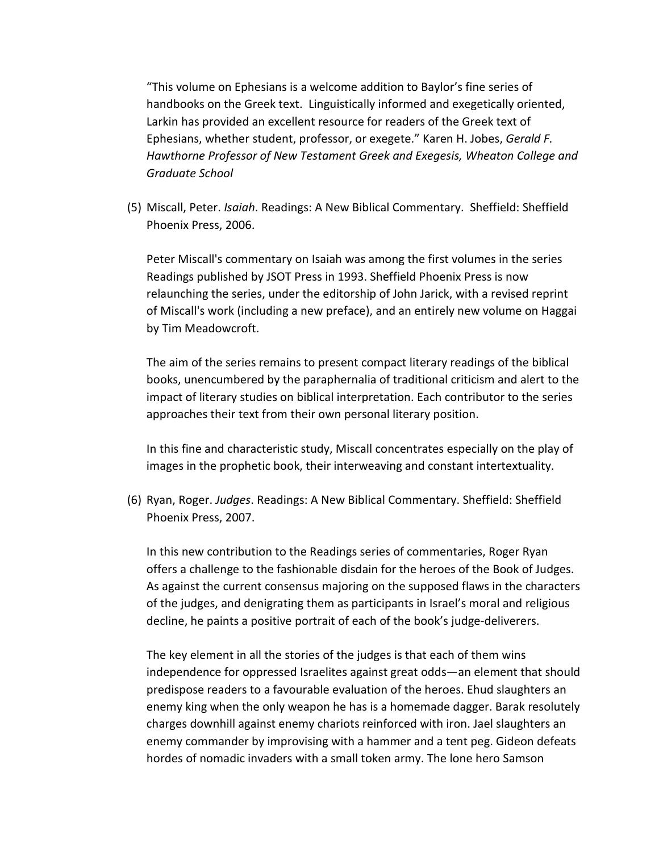"This volume on Ephesians is a welcome addition to Baylor's fine series of handbooks on the Greek text. Linguistically informed and exegetically oriented, Larkin has provided an excellent resource for readers of the Greek text of Ephesians, whether student, professor, or exegete." Karen H. Jobes, *Gerald F. Hawthorne Professor of New Testament Greek and Exegesis, Wheaton College and Graduate School*

(5) Miscall, Peter. *Isaiah*. Readings: A New Biblical Commentary. Sheffield: Sheffield Phoenix Press, 2006.

Peter Miscall's commentary on Isaiah was among the first volumes in the series Readings published by JSOT Press in 1993. Sheffield Phoenix Press is now relaunching the series, under the editorship of John Jarick, with a revised reprint of Miscall's work (including a new preface), and an entirely new volume on Haggai by Tim Meadowcroft.

The aim of the series remains to present compact literary readings of the biblical books, unencumbered by the paraphernalia of traditional criticism and alert to the impact of literary studies on biblical interpretation. Each contributor to the series approaches their text from their own personal literary position.

In this fine and characteristic study, Miscall concentrates especially on the play of images in the prophetic book, their interweaving and constant intertextuality.

(6) Ryan, Roger. *Judges*. Readings: A New Biblical Commentary. Sheffield: Sheffield Phoenix Press, 2007.

In this new contribution to the Readings series of commentaries, Roger Ryan offers a challenge to the fashionable disdain for the heroes of the Book of Judges. As against the current consensus majoring on the supposed flaws in the characters of the judges, and denigrating them as participants in Israel's moral and religious decline, he paints a positive portrait of each of the book's judge-deliverers.

The key element in all the stories of the judges is that each of them wins independence for oppressed Israelites against great odds—an element that should predispose readers to a favourable evaluation of the heroes. Ehud slaughters an enemy king when the only weapon he has is a homemade dagger. Barak resolutely charges downhill against enemy chariots reinforced with iron. Jael slaughters an enemy commander by improvising with a hammer and a tent peg. Gideon defeats hordes of nomadic invaders with a small token army. The lone hero Samson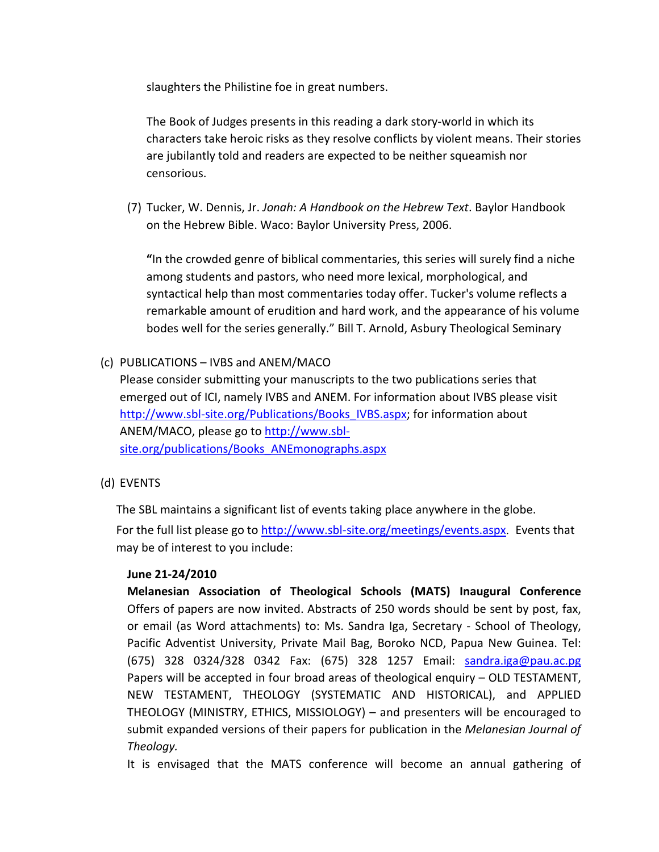slaughters the Philistine foe in great numbers.

The Book of Judges presents in this reading a dark story-world in which its characters take heroic risks as they resolve conflicts by violent means. Their stories are jubilantly told and readers are expected to be neither squeamish nor censorious.

(7) Tucker, W. Dennis, Jr. *Jonah: A Handbook on the Hebrew Text*. Baylor Handbook on the Hebrew Bible. Waco: Baylor University Press, 2006.

**"**In the crowded genre of biblical commentaries, this series will surely find a niche among students and pastors, who need more lexical, morphological, and syntactical help than most commentaries today offer. Tucker's volume reflects a remarkable amount of erudition and hard work, and the appearance of his volume bodes well for the series generally." Bill T. Arnold, Asbury Theological Seminary

(c) PUBLICATIONS – IVBS and ANEM/MACO

Please consider submitting your manuscripts to the two publications series that emerged out of ICI, namely IVBS and ANEM. For information about IVBS please visit [http://www.sbl-site.org/Publications/Books\\_IVBS.aspx;](http://www.sbl-site.org/Publications/Books_IVBS.aspx) for information about ANEM/MACO, please go to [http://www.sbl](http://www.sbl-site.org/publications/Books_ANEmonographs.aspx)[site.org/publications/Books\\_ANEmonographs.aspx](http://www.sbl-site.org/publications/Books_ANEmonographs.aspx)

(d) EVENTS

The SBL maintains a significant list of events taking place anywhere in the globe.

For the full list please go to <http://www.sbl-site.org/meetings/events.aspx>. Events that may be of interest to you include:

## **June 21-24/2010**

**Melanesian Association of Theological Schools (MATS) Inaugural Conference** Offers of papers are now invited. Abstracts of 250 words should be sent by post, fax, or email (as Word attachments) to: Ms. Sandra Iga, Secretary - School of Theology, Pacific Adventist University, Private Mail Bag, Boroko NCD, Papua New Guinea. Tel: (675) 328 0324/328 0342 Fax: (675) 328 1257 Email: [sandra.iga@pau.ac.pg](mailto:sandra.iga@pau.ac.pg) Papers will be accepted in four broad areas of theological enquiry – OLD TESTAMENT, NEW TESTAMENT, THEOLOGY (SYSTEMATIC AND HISTORICAL), and APPLIED THEOLOGY (MINISTRY, ETHICS, MISSIOLOGY) – and presenters will be encouraged to submit expanded versions of their papers for publication in the *Melanesian Journal of Theology.*

It is envisaged that the MATS conference will become an annual gathering of